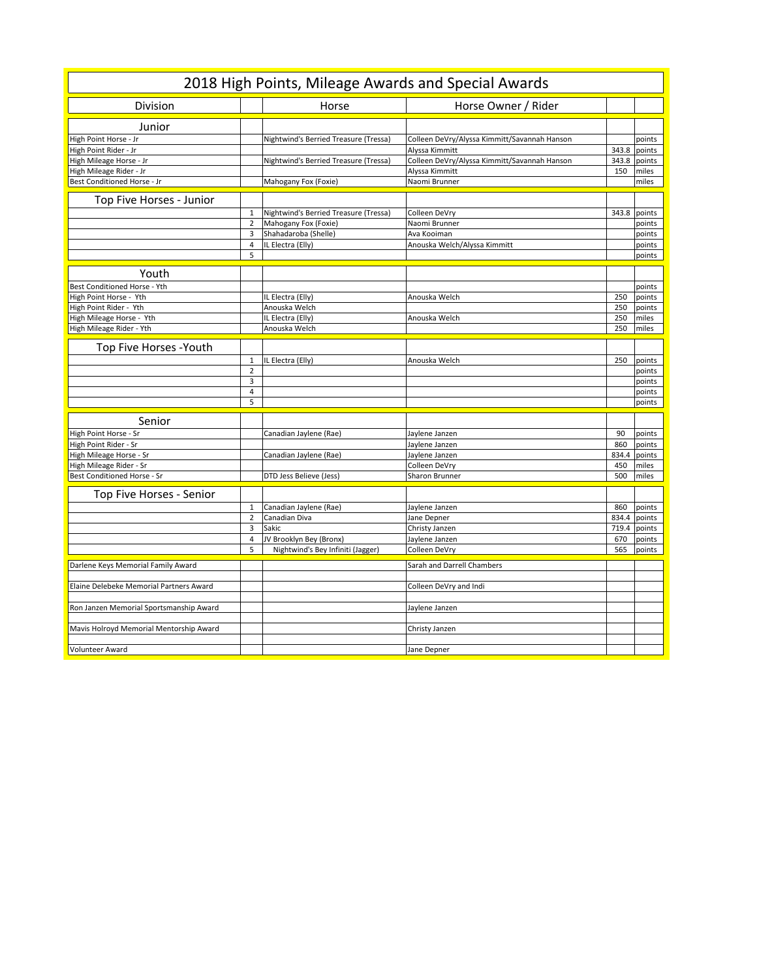| 2018 High Points, Mileage Awards and Special Awards |                |                                       |                                              |       |              |  |
|-----------------------------------------------------|----------------|---------------------------------------|----------------------------------------------|-------|--------------|--|
| Division                                            |                | Horse                                 | Horse Owner / Rider                          |       |              |  |
| Junior                                              |                |                                       |                                              |       |              |  |
| High Point Horse - Jr                               |                | Nightwind's Berried Treasure (Tressa) | Colleen DeVry/Alyssa Kimmitt/Savannah Hanson |       | points       |  |
| High Point Rider - Jr                               |                |                                       | Alyssa Kimmitt                               | 343.8 | points       |  |
| High Mileage Horse - Jr                             |                | Nightwind's Berried Treasure (Tressa) | Colleen DeVry/Alyssa Kimmitt/Savannah Hanson |       | 343.8 points |  |
| High Mileage Rider - Jr                             |                |                                       | Alyssa Kimmitt                               | 150   | miles        |  |
| Best Conditioned Horse - Jr                         |                | Mahogany Fox (Foxie)                  | Naomi Brunner                                |       | miles        |  |
| Top Five Horses - Junior                            |                |                                       |                                              |       |              |  |
|                                                     | $\mathbf{1}$   | Nightwind's Berried Treasure (Tressa) | Colleen DeVry                                |       | 343.8 points |  |
|                                                     | $\overline{2}$ | Mahogany Fox (Foxie)                  | Naomi Brunner                                |       | points       |  |
|                                                     | 3              | Shahadaroba (Shelle)                  | Ava Kooiman                                  |       | points       |  |
|                                                     | 4              | IL Electra (Elly)                     | Anouska Welch/Alyssa Kimmitt                 |       | points       |  |
|                                                     | 5              |                                       |                                              |       | points       |  |
| Youth                                               |                |                                       |                                              |       |              |  |
| Best Conditioned Horse - Yth                        |                |                                       |                                              |       | points       |  |
| High Point Horse - Yth                              |                | IL Electra (Elly)                     | Anouska Welch                                | 250   | points       |  |
| High Point Rider - Yth                              |                | Anouska Welch                         |                                              | 250   | points       |  |
| High Mileage Horse - Yth                            |                | IL Electra (Elly)                     | Anouska Welch                                | 250   | miles        |  |
| High Mileage Rider - Yth                            |                | Anouska Welch                         |                                              | 250   | miles        |  |
|                                                     |                |                                       |                                              |       |              |  |
| Top Five Horses - Youth                             |                |                                       |                                              |       |              |  |
|                                                     | $\,1\,$        | IL Electra (Elly)                     | Anouska Welch                                | 250   | points       |  |
|                                                     | $\overline{2}$ |                                       |                                              |       | points       |  |
|                                                     | 3              |                                       |                                              |       | points       |  |
|                                                     | $\overline{4}$ |                                       |                                              |       | points       |  |
|                                                     | 5              |                                       |                                              |       | points       |  |
| Senior                                              |                |                                       |                                              |       |              |  |
| High Point Horse - Sr                               |                | Canadian Jaylene (Rae)                | Jaylene Janzen                               | 90    | points       |  |
| High Point Rider - Sr                               |                |                                       | Jaylene Janzen                               | 860   | points       |  |
| High Mileage Horse - Sr                             |                | Canadian Jaylene (Rae)                | Jaylene Janzen                               | 834.4 | points       |  |
| High Mileage Rider - Sr                             |                |                                       | Colleen DeVry                                | 450   | miles        |  |
| Best Conditioned Horse - Sr                         |                | DTD Jess Believe (Jess)               | Sharon Brunner                               | 500   | miles        |  |
| Top Five Horses - Senior                            |                |                                       |                                              |       |              |  |
|                                                     | $\,1\,$        | Canadian Jaylene (Rae)                | Jaylene Janzen                               | 860   | points       |  |
|                                                     | $\overline{2}$ | Canadian Diva                         | Jane Depner                                  | 834.4 | points       |  |
|                                                     | 3              | Sakic                                 | Christy Janzen                               | 719.4 | points       |  |
|                                                     | $\overline{4}$ | JV Brooklyn Bey (Bronx)               | Jaylene Janzen                               | 670   | points       |  |
|                                                     | 5              | Nightwind's Bey Infiniti (Jagger)     | Colleen DeVry                                | 565   | points       |  |
| Darlene Keys Memorial Family Award                  |                |                                       | Sarah and Darrell Chambers                   |       |              |  |
|                                                     |                |                                       |                                              |       |              |  |
| Elaine Delebeke Memorial Partners Award             |                |                                       | Colleen DeVry and Indi                       |       |              |  |
|                                                     |                |                                       |                                              |       |              |  |
| Ron Janzen Memorial Sportsmanship Award             |                |                                       | Jaylene Janzen                               |       |              |  |
| Mavis Holroyd Memorial Mentorship Award             |                |                                       | Christy Janzen                               |       |              |  |
|                                                     |                |                                       |                                              |       |              |  |
| Volunteer Award                                     |                |                                       | Jane Depner                                  |       |              |  |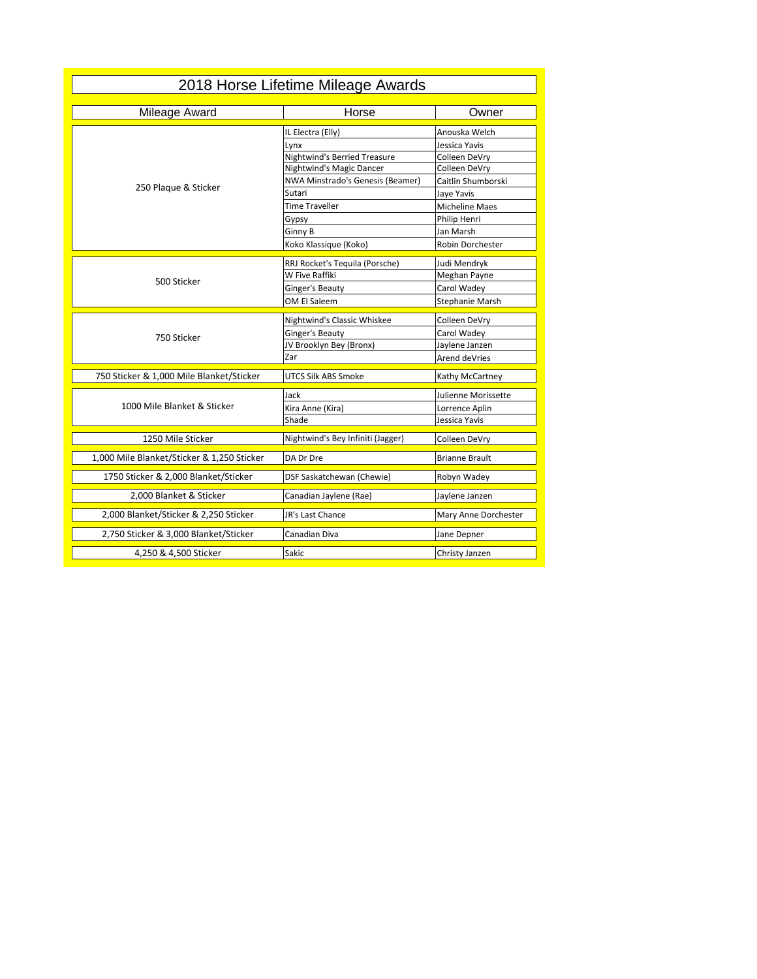| 2018 Horse Lifetime Mileage Awards         |                                     |                              |  |  |  |  |
|--------------------------------------------|-------------------------------------|------------------------------|--|--|--|--|
| Mileage Award                              | Horse                               | Owner                        |  |  |  |  |
|                                            | IL Electra (Elly)                   | Anouska Welch                |  |  |  |  |
|                                            | Lynx                                | Jessica Yavis                |  |  |  |  |
|                                            | <b>Nightwind's Berried Treasure</b> | Colleen DeVry                |  |  |  |  |
|                                            | Nightwind's Magic Dancer            | Colleen DeVry                |  |  |  |  |
| 250 Plaque & Sticker                       | NWA Minstrado's Genesis (Beamer)    | Caitlin Shumborski           |  |  |  |  |
|                                            | Sutari                              | Jaye Yavis                   |  |  |  |  |
|                                            | <b>Time Traveller</b>               | Micheline Maes               |  |  |  |  |
|                                            | Gypsy                               | Philip Henri                 |  |  |  |  |
|                                            | Ginny B                             | Jan Marsh                    |  |  |  |  |
|                                            | Koko Klassique (Koko)               | Robin Dorchester             |  |  |  |  |
|                                            | RRJ Rocket's Tequila (Porsche)      |                              |  |  |  |  |
|                                            | W Five Raffiki                      | Judi Mendryk<br>Meghan Payne |  |  |  |  |
| 500 Sticker                                | Ginger's Beauty                     | Carol Wadey                  |  |  |  |  |
|                                            | OM El Saleem                        |                              |  |  |  |  |
|                                            |                                     | Stephanie Marsh              |  |  |  |  |
|                                            | Nightwind's Classic Whiskee         | Colleen DeVry                |  |  |  |  |
| 750 Sticker                                | Ginger's Beauty                     | Carol Wadey                  |  |  |  |  |
|                                            | JV Brooklyn Bey (Bronx)             | Jaylene Janzen               |  |  |  |  |
|                                            | Zar                                 | Arend deVries                |  |  |  |  |
| 750 Sticker & 1,000 Mile Blanket/Sticker   | UTCS Silk ABS Smoke                 | Kathy McCartney              |  |  |  |  |
|                                            | Jack                                | Julienne Morissette          |  |  |  |  |
| 1000 Mile Blanket & Sticker                | Kira Anne (Kira)                    | Lorrence Aplin               |  |  |  |  |
|                                            | Shade                               | Jessica Yavis                |  |  |  |  |
| 1250 Mile Sticker                          | Nightwind's Bey Infiniti (Jagger)   | Colleen DeVry                |  |  |  |  |
| 1,000 Mile Blanket/Sticker & 1,250 Sticker | DA Dr Dre                           | <b>Brianne Brault</b>        |  |  |  |  |
| 1750 Sticker & 2,000 Blanket/Sticker       | DSF Saskatchewan (Chewie)           | Robyn Wadey                  |  |  |  |  |
| 2,000 Blanket & Sticker                    | Canadian Jaylene (Rae)              | Jaylene Janzen               |  |  |  |  |
| 2,000 Blanket/Sticker & 2,250 Sticker      | JR's Last Chance                    | Mary Anne Dorchester         |  |  |  |  |
| 2,750 Sticker & 3,000 Blanket/Sticker      | Canadian Diva                       | Jane Depner                  |  |  |  |  |
| 4,250 & 4,500 Sticker                      | Sakic                               | Christy Janzen               |  |  |  |  |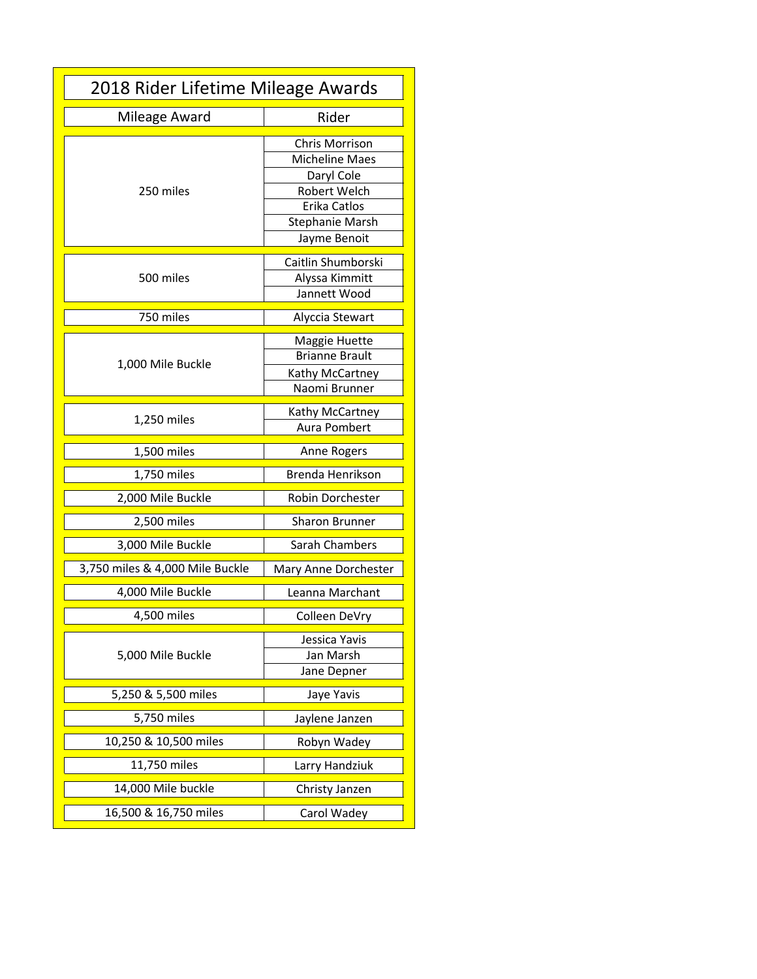| 2018 Rider Lifetime Mileage Awards |                                                                                                                                 |  |  |  |
|------------------------------------|---------------------------------------------------------------------------------------------------------------------------------|--|--|--|
| Mileage Award                      | Rider                                                                                                                           |  |  |  |
| 250 miles                          | Chris Morrison<br><b>Micheline Maes</b><br>Daryl Cole<br>Robert Welch<br>Erika Catlos<br><b>Stephanie Marsh</b><br>Jayme Benoit |  |  |  |
| 500 miles                          | Caitlin Shumborski<br>Alyssa Kimmitt<br>Jannett Wood                                                                            |  |  |  |
| 750 miles                          | Alyccia Stewart                                                                                                                 |  |  |  |
| 1,000 Mile Buckle                  | Maggie Huette<br><b>Brianne Brault</b><br>Kathy McCartney<br>Naomi Brunner                                                      |  |  |  |
| 1,250 miles                        | Kathy McCartney<br>Aura Pombert                                                                                                 |  |  |  |
| 1,500 miles                        | Anne Rogers                                                                                                                     |  |  |  |
| 1,750 miles                        | Brenda Henrikson                                                                                                                |  |  |  |
| 2,000 Mile Buckle                  | Robin Dorchester                                                                                                                |  |  |  |
| 2,500 miles                        | <b>Sharon Brunner</b>                                                                                                           |  |  |  |
| 3,000 Mile Buckle                  | Sarah Chambers                                                                                                                  |  |  |  |
| 3,750 miles & 4,000 Mile Buckle    | Mary Anne Dorchester                                                                                                            |  |  |  |
| 4,000 Mile Buckle                  | Leanna Marchant                                                                                                                 |  |  |  |
| 4,500 miles                        | Colleen DeVry                                                                                                                   |  |  |  |
| 5,000 Mile Buckle                  | Jessica Yavis<br>Jan Marsh<br>Jane Depner                                                                                       |  |  |  |
| 5,250 & 5,500 miles                | Jaye Yavis                                                                                                                      |  |  |  |
| 5,750 miles                        | Jaylene Janzen                                                                                                                  |  |  |  |
| 10,250 & 10,500 miles              | Robyn Wadey                                                                                                                     |  |  |  |
| 11,750 miles                       | Larry Handziuk                                                                                                                  |  |  |  |
| 14,000 Mile buckle                 | Christy Janzen                                                                                                                  |  |  |  |
| 16,500 & 16,750 miles              | Carol Wadey                                                                                                                     |  |  |  |